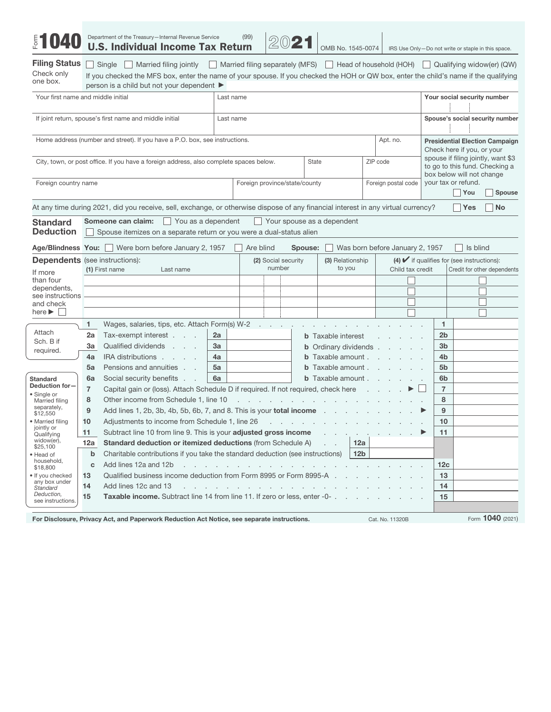| $\frac{5}{5}$                                           |                                                                                                                                                      | Department of the Treasury-Internal Revenue Service<br><b>U.S. Individual Income Tax Return</b>                                                                                                                      |           | (99)                          | 2021 |              | OMB No. 1545-0074                                                                     |                  |                                 |    |                 |                             | IRS Use Only-Do not write or staple in this space.                   |
|---------------------------------------------------------|------------------------------------------------------------------------------------------------------------------------------------------------------|----------------------------------------------------------------------------------------------------------------------------------------------------------------------------------------------------------------------|-----------|-------------------------------|------|--------------|---------------------------------------------------------------------------------------|------------------|---------------------------------|----|-----------------|-----------------------------|----------------------------------------------------------------------|
| <b>Filing Status</b><br>Check only<br>one box.          |                                                                                                                                                      | Single Married filing jointly<br>If you checked the MFS box, enter the name of your spouse. If you checked the HOH or QW box, enter the child's name if the qualifying<br>person is a child but not your dependent ▶ |           |                               |      |              | Married filing separately (MFS)   Head of household (HOH)   Qualifying widow(er) (QW) |                  |                                 |    |                 |                             |                                                                      |
| Your first name and middle initial                      |                                                                                                                                                      |                                                                                                                                                                                                                      | Last name |                               |      |              |                                                                                       |                  |                                 |    |                 |                             | Your social security number                                          |
|                                                         |                                                                                                                                                      | If joint return, spouse's first name and middle initial                                                                                                                                                              | Last name |                               |      |              |                                                                                       |                  |                                 |    |                 |                             | Spouse's social security number                                      |
|                                                         |                                                                                                                                                      | Home address (number and street). If you have a P.O. box, see instructions.                                                                                                                                          |           |                               |      |              |                                                                                       |                  | Apt. no.                        |    |                 | Check here if you, or your  | <b>Presidential Election Campaign</b>                                |
|                                                         |                                                                                                                                                      | City, town, or post office. If you have a foreign address, also complete spaces below.                                                                                                                               |           |                               |      | <b>State</b> |                                                                                       | ZIP code         |                                 |    |                 | box below will not change   | spouse if filing jointly, want \$3<br>to go to this fund. Checking a |
| Foreign country name                                    |                                                                                                                                                      |                                                                                                                                                                                                                      |           | Foreign province/state/county |      |              |                                                                                       |                  | Foreign postal code             |    |                 | your tax or refund.<br>You  | Spouse                                                               |
|                                                         |                                                                                                                                                      | At any time during 2021, did you receive, sell, exchange, or otherwise dispose of any financial interest in any virtual currency?                                                                                    |           |                               |      |              |                                                                                       |                  |                                 |    |                 | ∣ ∣Yes                      | <b>No</b>                                                            |
| <b>Standard</b><br><b>Deduction</b>                     |                                                                                                                                                      | You as a dependent<br>Someone can claim:<br>Spouse itemizes on a separate return or you were a dual-status alien                                                                                                     |           |                               |      |              | $\Box$ Your spouse as a dependent                                                     |                  |                                 |    |                 |                             |                                                                      |
|                                                         |                                                                                                                                                      | Age/Blindness You: Were born before January 2, 1957                                                                                                                                                                  |           | Are blind                     |      | Spouse:      |                                                                                       |                  | Was born before January 2, 1957 |    |                 | Is blind<br>$\mathbf{L}$    |                                                                      |
|                                                         | $(4)$ $\blacktriangleright$ if qualifies for (see instructions):<br><b>Dependents</b> (see instructions):<br>(3) Relationship<br>(2) Social security |                                                                                                                                                                                                                      |           |                               |      |              |                                                                                       |                  |                                 |    |                 |                             |                                                                      |
| If more                                                 |                                                                                                                                                      | (1) First name<br>Last name                                                                                                                                                                                          | number    |                               |      | to you       |                                                                                       | Child tax credit |                                 |    |                 | Credit for other dependents |                                                                      |
| than four<br>dependents,                                |                                                                                                                                                      |                                                                                                                                                                                                                      |           |                               |      |              |                                                                                       |                  |                                 |    |                 |                             |                                                                      |
| see instructions                                        |                                                                                                                                                      |                                                                                                                                                                                                                      |           |                               |      |              |                                                                                       |                  |                                 |    |                 |                             |                                                                      |
| and check<br>here $\blacktriangleright$                 |                                                                                                                                                      |                                                                                                                                                                                                                      |           |                               |      |              |                                                                                       |                  |                                 |    |                 |                             |                                                                      |
|                                                         | 1                                                                                                                                                    | Wages, salaries, tips, etc. Attach Form(s) W-2                                                                                                                                                                       |           |                               |      |              |                                                                                       |                  |                                 |    | $\mathbf{1}$    |                             |                                                                      |
| Attach                                                  | 2a                                                                                                                                                   | Tax-exempt interest                                                                                                                                                                                                  | 2a        |                               |      |              | <b>b</b> Taxable interest                                                             |                  |                                 |    | 2 <sub>b</sub>  |                             |                                                                      |
| Sch. B if                                               | За                                                                                                                                                   | Qualified dividends                                                                                                                                                                                                  | 3a        |                               |      |              | <b>b</b> Ordinary dividends<br><b>b</b> Taxable amount                                |                  |                                 |    | 3 <sub>b</sub>  |                             |                                                                      |
| required.                                               | 4a                                                                                                                                                   | IRA distributions                                                                                                                                                                                                    | 4a        |                               |      |              |                                                                                       |                  |                                 |    | 4b              |                             |                                                                      |
|                                                         | 5a                                                                                                                                                   | Pensions and annuities                                                                                                                                                                                               | 5a        |                               |      |              | <b>b</b> Taxable amount                                                               |                  |                                 |    | 5 <sub>b</sub>  |                             |                                                                      |
| <b>Standard</b>                                         | 6a                                                                                                                                                   | Social security benefits                                                                                                                                                                                             | 6a        |                               |      |              | <b>b</b> Taxable amount                                                               |                  |                                 |    | 6b              |                             |                                                                      |
| Deduction for-                                          | $\overline{7}$                                                                                                                                       | $\overline{7}$<br>Capital gain or (loss). Attach Schedule D if required. If not required, check here                                                                                                                 |           |                               |      |              |                                                                                       |                  |                                 |    |                 |                             |                                                                      |
| · Single or<br>Married filing                           | 8                                                                                                                                                    | and a series of the companion of the companion<br>Other income from Schedule 1, line 10                                                                                                                              |           |                               |      |              |                                                                                       |                  |                                 |    | 8               |                             |                                                                      |
| separately,<br>\$12,550                                 | 9                                                                                                                                                    | Add lines 1, 2b, 3b, 4b, 5b, 6b, 7, and 8. This is your <b>total income</b>                                                                                                                                          |           |                               |      |              |                                                                                       |                  |                                 |    | 9               |                             |                                                                      |
| • Married filing                                        | 10                                                                                                                                                   | Adjustments to income from Schedule 1, line 26<br>the contract of the contract of the contract of the con-                                                                                                           |           |                               |      |              |                                                                                       |                  |                                 |    | 10              |                             |                                                                      |
| jointly or<br>Qualitying                                | 11                                                                                                                                                   | Subtract line 10 from line 9. This is your adjusted gross income                                                                                                                                                     |           |                               |      |              |                                                                                       |                  |                                 |    | 11              |                             |                                                                      |
| widow(er),<br>\$25,100                                  | 12a                                                                                                                                                  | <b>Standard deduction or itemized deductions (from Schedule A)</b><br>12a                                                                                                                                            |           |                               |      |              |                                                                                       |                  |                                 |    |                 |                             |                                                                      |
| • Head of                                               | $\mathbf b$                                                                                                                                          | 12 <sub>b</sub><br>Charitable contributions if you take the standard deduction (see instructions)                                                                                                                    |           |                               |      |              |                                                                                       |                  |                                 |    |                 |                             |                                                                      |
| household,<br>\$18,800                                  | C                                                                                                                                                    | Add lines 12a and 12b                                                                                                                                                                                                |           |                               |      |              |                                                                                       |                  |                                 |    | 12 <sub>c</sub> |                             |                                                                      |
| • If you checked                                        | 13                                                                                                                                                   | Qualified business income deduction from Form 8995 or Form 8995-A .                                                                                                                                                  |           |                               |      |              |                                                                                       |                  |                                 |    | 13              |                             |                                                                      |
| any box under<br>14<br>Add lines 12c and 13<br>Standard |                                                                                                                                                      |                                                                                                                                                                                                                      |           |                               |      |              |                                                                                       |                  |                                 | 14 |                 |                             |                                                                      |
| Deduction,<br>see instructions.                         | 15                                                                                                                                                   | Taxable income. Subtract line 14 from line 11. If zero or less, enter -0-                                                                                                                                            |           |                               |      |              |                                                                                       |                  |                                 |    | 15              |                             |                                                                      |
|                                                         |                                                                                                                                                      |                                                                                                                                                                                                                      |           |                               |      |              |                                                                                       |                  |                                 |    |                 |                             | Form 1040 (2021)                                                     |
|                                                         |                                                                                                                                                      | For Disclosure, Privacy Act, and Panerwork Reduction Act Notice, see senarate instructions                                                                                                                           |           |                               |      |              |                                                                                       |                  | Cat No. 11320B                  |    |                 |                             |                                                                      |

y Act, and Paperwork Reduction Act Notice, see separate instru